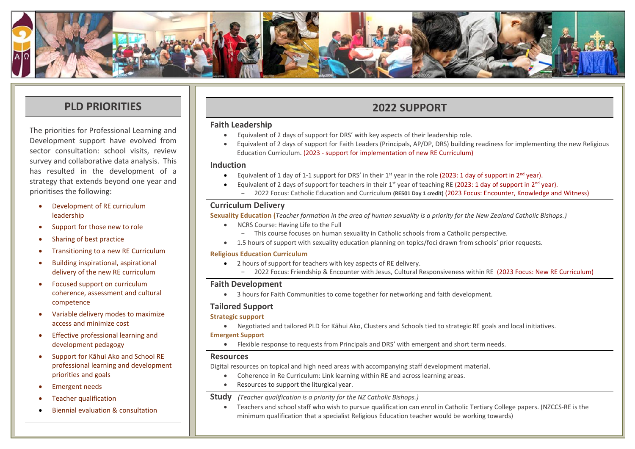

## **PLD PRIORITIES**

The priorities for Professional Learning and Development support have evolved from sector consultation: school visits, review survey and collaborative data analysis. This has resulted in the development of a strategy that extends beyond one year and prioritises the following:

- Development of RE curriculum leadership
- Support for those new to role
- Sharing of best practice
- Transitioning to a new RE Curriculum
- Building inspirational, aspirational delivery of the new RE curriculum
- Focused support on curriculum coherence, assessment and cultural competence
- Variable delivery modes to maximize access and minimize cost
- Effective professional learning and development pedagogy
- Support for Kāhui Ako and School RE professional learning and development priorities and goals
- Emergent needs
- Teacher qualification
- Biennial evaluation & consultation

## **2022 SUPPORT**

#### **Faith Leadership**

- Equivalent of 2 days of support for DRS' with key aspects of their leadership role.
- Equivalent of 2 days of support for Faith Leaders (Principals, AP/DP, DRS) building readiness for implementing the new Religious Education Curriculum. (2023 - support for implementation of new RE Curriculum)

#### **Induction**

- Equivalent of 1 day of 1-1 support for DRS' in their  $1^{st}$  year in the role (2023: 1 day of support in  $2^{nd}$  year).
	- Equivalent of 2 days of support for teachers in their  $1^{st}$  year of teaching RE (2023: 1 day of support in 2<sup>nd</sup> year).
		- 2022 Focus: Catholic Education and Curriculum **(RE501 Day 1 credit)** (2023 Focus: Encounter, Knowledge and Witness)

#### **Curriculum Delivery**

**Sexuality Education (***Teacher formation in the area of human sexuality is a priority for the New Zealand Catholic Bishops.)*

- NCRS Course: Having Life to the Full
	- This course focuses on human sexuality in Catholic schools from a Catholic perspective.
- 1.5 hours of support with sexuality education planning on topics/foci drawn from schools' prior requests.

#### **Religious Education Curriculum**

- 2 hours of support for teachers with key aspects of RE delivery.
	- 2022 Focus: Friendship & Encounter with Jesus, Cultural Responsiveness within RE (2023 Focus: New RE Curriculum)

#### **Faith Development**

• 3 hours for Faith Communities to come together for networking and faith development.

#### **Tailored Support**

#### **Strategic support**

• Negotiated and tailored PLD for Kāhui Ako, Clusters and Schools tied to strategic RE goals and local initiatives.

#### **Emergent Support**

• Flexible response to requests from Principals and DRS' with emergent and short term needs.

#### **Resources**

Digital resources on topical and high need areas with accompanying staff development material.

- Coherence in Re Curriculum: Link learning within RE and across learning areas.
- Resources to support the liturgical year.

#### **Study** *(Teacher qualification is a priority for the NZ Catholic Bishops.)*

• Teachers and school staff who wish to pursue qualification can enrol in Catholic Tertiary College papers. (NZCCS-RE is the minimum qualification that a specialist Religious Education teacher would be working towards)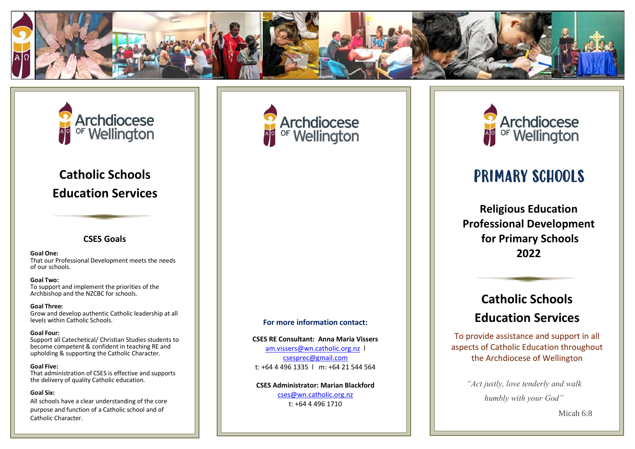



# **Catholic Schools Education Services**

#### **CSES Goals**

**Goal One:**  That our Professional Development meets the needs of our schools.

**Goal Two:**  To support and implement the priorities of the Archbishop and the NZCBC for schools.

**Goal Three:** Grow and develop authentic Catholic leadership at all levels within Catholic Schools.

**Goal Four:** Support all Catechetical/ Christian Studies students to become competent & confident in teaching RE and upholding & supporting the Catholic Character.

**Goal Five:**  That administration of CSES is effective and supports the delivery of quality Catholic education.

#### **Goal Six:**

All schools have a clear understanding of the core purpose and function of a Catholic school and of Catholic Character.



#### **For more information contact:**

**CSES RE Consultant: Anna Maria Vissers** [am.vissers@wn.catholic.org.nz](mailto:am.vissers@wn.catholic.org.nz) l [csesprec@gmail.com](mailto:csesprec@gmail.com) t: +64 4 496 1335 l m: +64 21 544 564

**CSES Administrator: Marian Blackford** [cses@wn.catholic.org.nz](mailto:cses@wn.catholic.org.nz) t: +64 4 496 1710



# PRIMARY SCHOOLS

**Religious Education Professional Development for Primary Schools 2022**

# **Catholic Schools Education Services**

To provide assistance and support in all aspects of Catholic Education throughout the Archdiocese of Wellington

> *"Act justly, love tenderly and walk humbly with your God"*

> > Micah 6:8